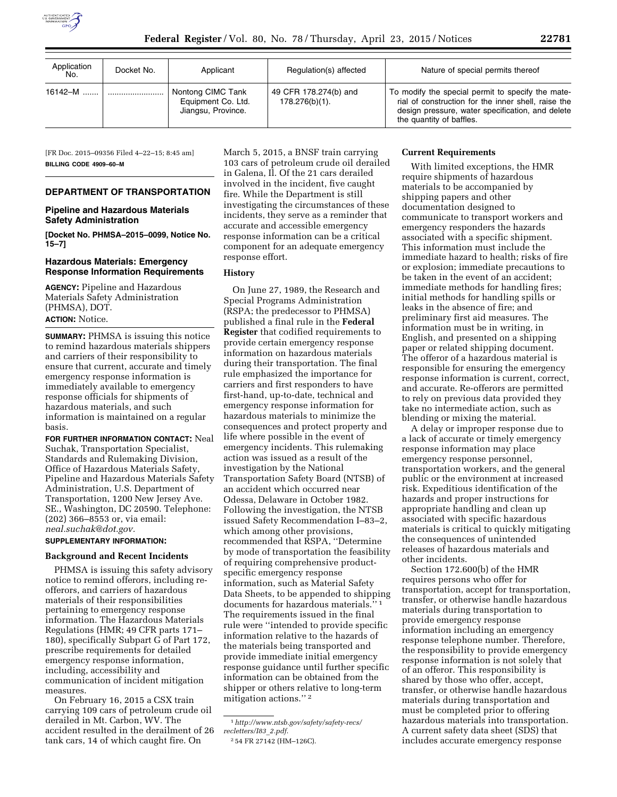

| Application<br>No. | Docket No. | Applicant                                                     | Regulation(s) affected                     | Nature of special permits thereof                                                                                                                                                        |
|--------------------|------------|---------------------------------------------------------------|--------------------------------------------|------------------------------------------------------------------------------------------------------------------------------------------------------------------------------------------|
| 16142-M            |            | Nontong CIMC Tank<br>Equipment Co. Ltd.<br>Jiangsu, Province. | 49 CFR 178.274(b) and<br>$178.276(b)(1)$ . | To modify the special permit to specify the mate-<br>rial of construction for the inner shell, raise the<br>design pressure, water specification, and delete<br>the quantity of baffles. |

[FR Doc. 2015–09356 Filed 4–22–15; 8:45 am] **BILLING CODE 4909–60–M** 

# **DEPARTMENT OF TRANSPORTATION**

## **Pipeline and Hazardous Materials Safety Administration**

**[Docket No. PHMSA–2015–0099, Notice No. 15–7]** 

### **Hazardous Materials: Emergency Response Information Requirements**

**AGENCY:** Pipeline and Hazardous Materials Safety Administration (PHMSA), DOT. **ACTION:** Notice.

**SUMMARY:** PHMSA is issuing this notice to remind hazardous materials shippers and carriers of their responsibility to ensure that current, accurate and timely emergency response information is immediately available to emergency response officials for shipments of hazardous materials, and such information is maintained on a regular basis.

**FOR FURTHER INFORMATION CONTACT:** Neal Suchak, Transportation Specialist, Standards and Rulemaking Division, Office of Hazardous Materials Safety, Pipeline and Hazardous Materials Safety Administration, U.S. Department of Transportation, 1200 New Jersey Ave. SE., Washington, DC 20590. Telephone: (202) 366–8553 or, via email: *[neal.suchak@dot.gov.](mailto:neal.suchak@dot.gov)* 

### **SUPPLEMENTARY INFORMATION:**

#### **Background and Recent Incidents**

PHMSA is issuing this safety advisory notice to remind offerors, including reofferors, and carriers of hazardous materials of their responsibilities pertaining to emergency response information. The Hazardous Materials Regulations (HMR; 49 CFR parts 171– 180), specifically Subpart G of Part 172, prescribe requirements for detailed emergency response information, including, accessibility and communication of incident mitigation measures.

On February 16, 2015 a CSX train carrying 109 cars of petroleum crude oil derailed in Mt. Carbon, WV. The accident resulted in the derailment of 26 tank cars, 14 of which caught fire. On

March 5, 2015, a BNSF train carrying 103 cars of petroleum crude oil derailed in Galena, Il. Of the 21 cars derailed involved in the incident, five caught fire. While the Department is still investigating the circumstances of these incidents, they serve as a reminder that accurate and accessible emergency response information can be a critical component for an adequate emergency response effort.

#### **History**

On June 27, 1989, the Research and Special Programs Administration (RSPA; the predecessor to PHMSA) published a final rule in the **Federal Register** that codified requirements to provide certain emergency response information on hazardous materials during their transportation. The final rule emphasized the importance for carriers and first responders to have first-hand, up-to-date, technical and emergency response information for hazardous materials to minimize the consequences and protect property and life where possible in the event of emergency incidents. This rulemaking action was issued as a result of the investigation by the National Transportation Safety Board (NTSB) of an accident which occurred near Odessa, Delaware in October 1982. Following the investigation, the NTSB issued Safety Recommendation I–83–2, which among other provisions, recommended that RSPA, ''Determine by mode of transportation the feasibility of requiring comprehensive productspecific emergency response information, such as Material Safety Data Sheets, to be appended to shipping documents for hazardous materials."<sup>1</sup> The requirements issued in the final rule were ''intended to provide specific information relative to the hazards of the materials being transported and provide immediate initial emergency response guidance until further specific information can be obtained from the shipper or others relative to long-term mitigation actions.'' 2

#### **Current Requirements**

With limited exceptions, the HMR require shipments of hazardous materials to be accompanied by shipping papers and other documentation designed to communicate to transport workers and emergency responders the hazards associated with a specific shipment. This information must include the immediate hazard to health; risks of fire or explosion; immediate precautions to be taken in the event of an accident; immediate methods for handling fires; initial methods for handling spills or leaks in the absence of fire; and preliminary first aid measures. The information must be in writing, in English, and presented on a shipping paper or related shipping document. The offeror of a hazardous material is responsible for ensuring the emergency response information is current, correct, and accurate. Re-offerors are permitted to rely on previous data provided they take no intermediate action, such as blending or mixing the material.

A delay or improper response due to a lack of accurate or timely emergency response information may place emergency response personnel, transportation workers, and the general public or the environment at increased risk. Expeditious identification of the hazards and proper instructions for appropriate handling and clean up associated with specific hazardous materials is critical to quickly mitigating the consequences of unintended releases of hazardous materials and other incidents.

Section 172.600(b) of the HMR requires persons who offer for transportation, accept for transportation, transfer, or otherwise handle hazardous materials during transportation to provide emergency response information including an emergency response telephone number. Therefore, the responsibility to provide emergency response information is not solely that of an offeror. This responsibility is shared by those who offer, accept, transfer, or otherwise handle hazardous materials during transportation and must be completed prior to offering hazardous materials into transportation. A current safety data sheet (SDS) that includes accurate emergency response

<sup>1</sup>*[http://www.ntsb.gov/safety/safety-recs/](http://www.ntsb.gov/safety/safety-recs/recletters/I83_2.pdf) [recletters/I83](http://www.ntsb.gov/safety/safety-recs/recletters/I83_2.pdf)*\_*2.pdf*.

<sup>2</sup> 54 FR 27142 (HM–126C).